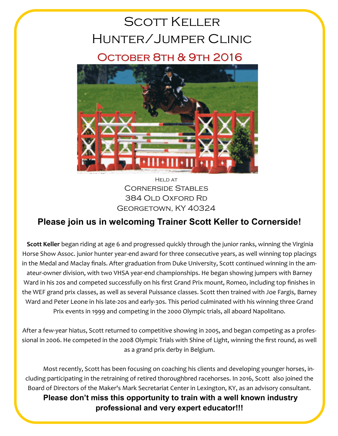# Scott Keller Hunter/Jumper Clinic

### October 8th & 9th 2016



**HELD AT** Cornerside Stables 384 OLD OXFORD RD Georgetown, KY 40324

#### **Please join us in welcoming Trainer Scott Keller to Cornerside!**

**Scott Keller** began riding at age 6 and progressed quickly through the junior ranks, winning the Virginia Horse Show Assoc. junior hunter year-end award for three consecutive years, as well winning top placings in the Medal and Maclay finals. After graduation from Duke University, Scott continued winning in the amateur-owner division, with two VHSA year-end championships. He began showing jumpers with Barney Ward in his 20s and competed successfully on his first Grand Prix mount, Romeo, including top finishes in the WEF grand prix classes, as well as several Puissance classes. Scott then trained with Joe Fargis, Barney Ward and Peter Leone in his late-20s and early-30s. This period culminated with his winning three Grand Prix events in 1999 and competing in the 2000 Olympic trials, all aboard Napolitano.

After a few-year hiatus, Scott returned to competitive showing in 2005, and began competing as a professional in 2006. He competed in the 2008 Olympic Trials with Shine of Light, winning the first round, as well as a grand prix derby in Belgium.

 Most recently, Scott has been focusing on coaching his clients and developing younger horses, including participating in the retraining of retired thoroughbred racehorses. In 2016, Scott also joined the Board of Directors of the Maker's Mark Secretariat Center in Lexington, KY, as an advisory consultant.

**Please don't miss this opportunity to train with a well known industry professional and very expert educator!!!**